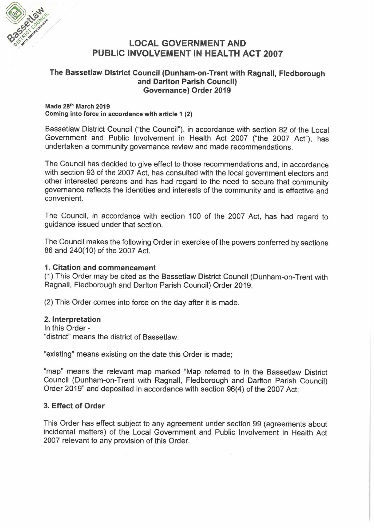

# **LOCALGOVERNMENTAND PUBLIC INVOLVEMENT IN HEALTH ACT 2007**

### **The Bassetlaw District Council (Dunham-on-Trent with Ragnall, Fledborough and Darlton Parish Council) Governance) Order 2019**

#### **Made 28th March 2019 Coming into force in accordance with article 1 (2)**

Bassetlaw District Council ("the Council"), in accordance with section 82 of the Local Government and Public Involvement in Health Act 2007 ("the 2007 Act"), has undertaken a community governance review and made recommendations.

The Council has decided to give effect to those recommendations and, in accordance with section 93 of the 2007 Act, has consulted with the local government electors and other interested persons and has had regard to the need to secure that community governance reflects the identities and interests of the community and is effective and convenient.

The Council, in accordance with section 100 of the 2007 Act, has had regard to guidance issued under that section.

The Council makes the following Order in exercise of the powers conferred by sections 86 and 240(10) of the 2007 Act.

#### **1. Citation and commencement**

(1) This Order may be cited as the Bassetlaw District Council (Dunham-on-Trent with Ragnall, Fledborough and Darlton Parish Council) Order 2019.

(2) This Order comes into force on the day after it is made.

#### **2. Interpretation**

In this Order - "district" means the district of Bassetlaw;

"existing" means existing on the date this Order is made;

"map" means the relevant map marked "Map referred to in the Bassetlaw District Council (Dunham-on-Trent with Ragnall, Fledborough and Darlton Parish Council) Order 2019" and deposited in accordance with section 96(4) of the 2007 Act;

#### **3. Effect of Order**

This Order has effect subject to any agreement under section 99 (agreements about incidental matters) of the Local Government and Public Involvement in Health Act 2007 relevant to any provision of this Order.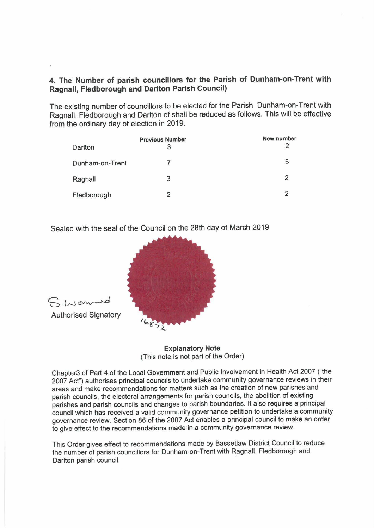## **4. The Number of parish councillors for the Parish of Dunham-on-Trent with Ragnall, Fledborough and Darlton Parish Council)**

The existing number of councillors to be elected for the Parish Dunham-on-Trent with Ragnall, Fledborough and Darlton of shall be reduced as follows. This will be effective from the ordinary day of election in 2019.

|                 | <b>Previous Number</b> | New number |
|-----------------|------------------------|------------|
| Darlton         | 3                      |            |
| Dunham-on-Trent |                        | 5          |
| Ragnall         | 3                      |            |
| Fledborough     | 2                      | 2          |

Sealed with the seal of the Council on the 28th day of March 2019



 $S$   $\omega$  orward

Authorised Signatory

**Explanatory Note**  (This note is not part of the Order)

Chapter3 of Part 4 of the Local Government and Public Involvement in Health Act 2007 ("the 2007 Act") authorises principal councils to undertake community governance reviews in their areas and make recommendations for matters such as the creation of new parishes and parish councils, the electoral arrangements for parish councils, the abolition of existing parishes and parish councils and changes to parish boundaries. It also requires a principal council which has received a valid community governance petition to undertake a community governance review. Section 86 of the 2007 Act enables a principal council to make an order to give effect to the recommendations made in a community governance review.

This Order gives effect to recommendations made by Bassetlaw District Council to reduce the number of parish councillors for Dunham-on-Trent with Ragnall, Fledborough and Darlton parish council.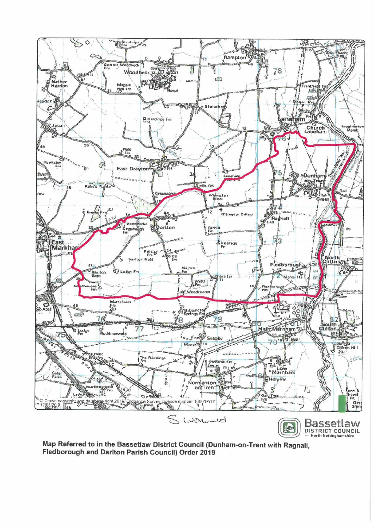

Map Referred to in the Bassetlaw District Council (Dunham-on-Trent with Ragnall, Fledborough and Darlton Parish Council) Order 2019